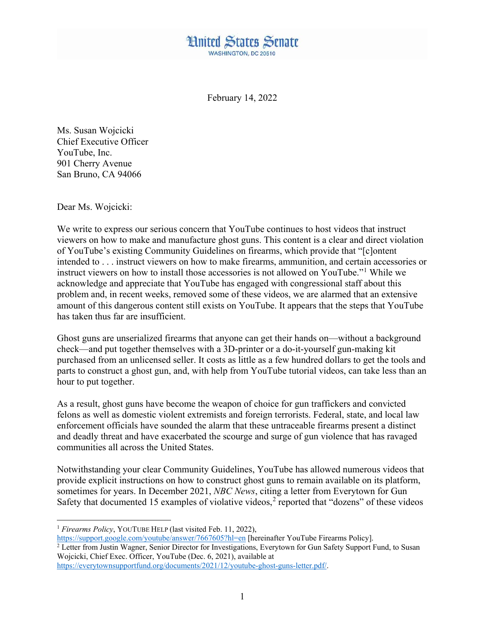

February 14, 2022

Ms. Susan Wojcicki Chief Executive Officer YouTube, Inc. 901 Cherry Avenue San Bruno, CA 94066

Dear Ms. Wojcicki:

We write to express our serious concern that YouTube continues to host videos that instruct viewers on how to make and manufacture ghost guns. This content is a clear and direct violation of YouTube's existing Community Guidelines on firearms, which provide that "[c]ontent intended to . . . instruct viewers on how to make firearms, ammunition, and certain accessories or instruct viewers on how to install those accessories is not allowed on YouTube."[1](#page-0-0) While we acknowledge and appreciate that YouTube has engaged with congressional staff about this problem and, in recent weeks, removed some of these videos, we are alarmed that an extensive amount of this dangerous content still exists on YouTube. It appears that the steps that YouTube has taken thus far are insufficient.

Ghost guns are unserialized firearms that anyone can get their hands on—without a background check—and put together themselves with a 3D-printer or a do-it-yourself gun-making kit purchased from an unlicensed seller. It costs as little as a few hundred dollars to get the tools and parts to construct a ghost gun, and, with help from YouTube tutorial videos, can take less than an hour to put together.

As a result, ghost guns have become the weapon of choice for gun traffickers and convicted felons as well as domestic violent extremists and foreign terrorists. Federal, state, and local law enforcement officials have sounded the alarm that these untraceable firearms present a distinct and deadly threat and have exacerbated the scourge and surge of gun violence that has ravaged communities all across the United States.

Notwithstanding your clear Community Guidelines, YouTube has allowed numerous videos that provide explicit instructions on how to construct ghost guns to remain available on its platform, sometimes for years. In December 2021, *NBC News*, citing a letter from Everytown for Gun Safety that documented 15 examples of violative videos,<sup>[2](#page-0-1)</sup> reported that "dozens" of these videos

<span id="page-0-0"></span><sup>&</sup>lt;sup>1</sup> *Firearms Policy*, YOUTUBE HELP (last visited Feb. 11, 2022),

<span id="page-0-1"></span><https://support.google.com/youtube/answer/7667605?hl=en> [hereinafter YouTube Firearms Policy]. <sup>2</sup> Letter from Justin Wagner, Senior Director for Investigations, Everytown for Gun Safety Support Fund, to Susan Wojcicki, Chief Exec. Officer, YouTube (Dec. 6, 2021), available at

[https://everytownsupportfund.org/documents/2021/12/youtube-ghost-guns-letter.pdf/.](https://everytownsupportfund.org/documents/2021/12/youtube-ghost-guns-letter.pdf/)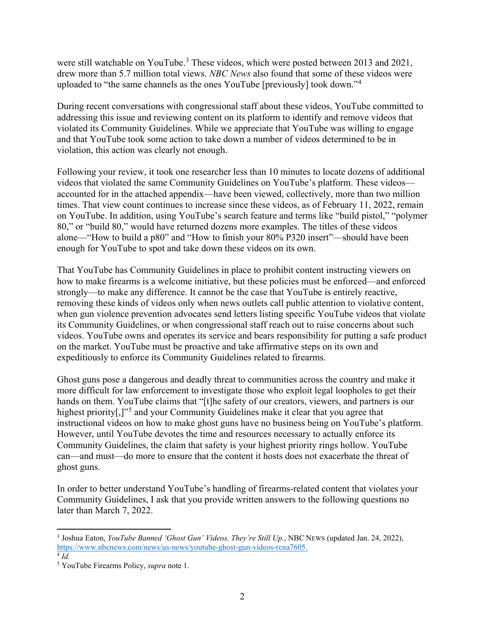were still watchable on YouTube.<sup>[3](#page-1-0)</sup> These videos, which were posted between 2013 and 2021, drew more than 5.7 million total views. *NBC News* also found that some of these videos were uploaded to "the same channels as the ones YouTube [previously] took down."[4](#page-1-1)

During recent conversations with congressional staff about these videos, YouTube committed to addressing this issue and reviewing content on its platform to identify and remove videos that violated its Community Guidelines. While we appreciate that YouTube was willing to engage and that YouTube took some action to take down a number of videos determined to be in violation, this action was clearly not enough.

Following your review, it took one researcher less than 10 minutes to locate dozens of additional videos that violated the same Community Guidelines on YouTube's platform. These videos accounted for in the attached appendix—have been viewed, collectively, more than two million times. That view count continues to increase since these videos, as of February 11, 2022, remain on YouTube. In addition, using YouTube's search feature and terms like "build pistol," "polymer 80," or "build 80," would have returned dozens more examples. The titles of these videos alone—"How to build a p80" and "How to finish your 80% P320 insert"—should have been enough for YouTube to spot and take down these videos on its own.

That YouTube has Community Guidelines in place to prohibit content instructing viewers on how to make firearms is a welcome initiative, but these policies must be enforced—and enforced strongly—to make any difference. It cannot be the case that YouTube is entirely reactive, removing these kinds of videos only when news outlets call public attention to violative content, when gun violence prevention advocates send letters listing specific YouTube videos that violate its Community Guidelines, or when congressional staff reach out to raise concerns about such videos. YouTube owns and operates its service and bears responsibility for putting a safe product on the market. YouTube must be proactive and take affirmative steps on its own and expeditiously to enforce its Community Guidelines related to firearms.

Ghost guns pose a dangerous and deadly threat to communities across the country and make it more difficult for law enforcement to investigate those who exploit legal loopholes to get their hands on them. YouTube claims that "[t]he safety of our creators, viewers, and partners is our highest priority<sup>[1,11[5](#page-1-2)</sup>] and your Community Guidelines make it clear that you agree that instructional videos on how to make ghost guns have no business being on YouTube's platform. However, until YouTube devotes the time and resources necessary to actually enforce its Community Guidelines, the claim that safety is your highest priority rings hollow. YouTube can—and must—do more to ensure that the content it hosts does not exacerbate the threat of ghost guns.

In order to better understand YouTube's handling of firearms-related content that violates your Community Guidelines, I ask that you provide written answers to the following questions no later than March 7, 2022.

<span id="page-1-0"></span> <sup>3</sup> Joshua Eaton, *YouTube Banned 'Ghost Gun' Videos. They're Still Up.*, NBC NEWS (updated Jan. 24, 2022), [https://www.nbcnews.com/news/us-news/youtube-ghost-gun-videos-rcna7605.](https://www.nbcnews.com/news/us-news/youtube-ghost-gun-videos-rcna7605)

<span id="page-1-1"></span> $4$   $Id$ .

<span id="page-1-2"></span><sup>5</sup> YouTube Firearms Policy, *supra* note 1.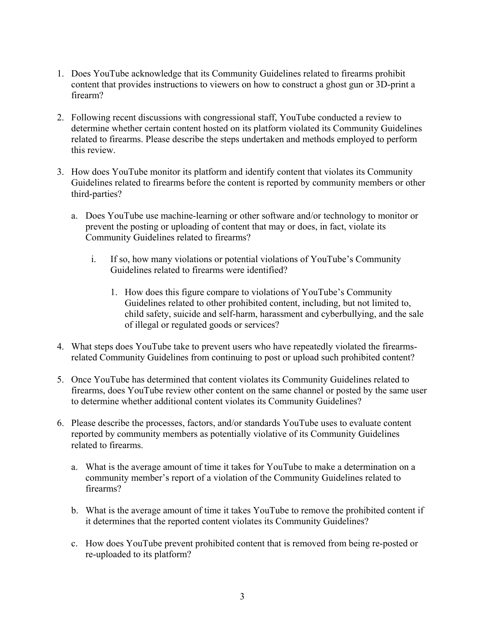- 1. Does YouTube acknowledge that its Community Guidelines related to firearms prohibit content that provides instructions to viewers on how to construct a ghost gun or 3D-print a firearm?
- 2. Following recent discussions with congressional staff, YouTube conducted a review to determine whether certain content hosted on its platform violated its Community Guidelines related to firearms. Please describe the steps undertaken and methods employed to perform this review.
- 3. How does YouTube monitor its platform and identify content that violates its Community Guidelines related to firearms before the content is reported by community members or other third-parties?
	- a. Does YouTube use machine-learning or other software and/or technology to monitor or prevent the posting or uploading of content that may or does, in fact, violate its Community Guidelines related to firearms?
		- i. If so, how many violations or potential violations of YouTube's Community Guidelines related to firearms were identified?
			- 1. How does this figure compare to violations of YouTube's Community Guidelines related to other prohibited content, including, but not limited to, child safety, suicide and self-harm, harassment and cyberbullying, and the sale of illegal or regulated goods or services?
- 4. What steps does YouTube take to prevent users who have repeatedly violated the firearmsrelated Community Guidelines from continuing to post or upload such prohibited content?
- 5. Once YouTube has determined that content violates its Community Guidelines related to firearms, does YouTube review other content on the same channel or posted by the same user to determine whether additional content violates its Community Guidelines?
- 6. Please describe the processes, factors, and/or standards YouTube uses to evaluate content reported by community members as potentially violative of its Community Guidelines related to firearms.
	- a. What is the average amount of time it takes for YouTube to make a determination on a community member's report of a violation of the Community Guidelines related to firearms?
	- b. What is the average amount of time it takes YouTube to remove the prohibited content if it determines that the reported content violates its Community Guidelines?
	- c. How does YouTube prevent prohibited content that is removed from being re-posted or re-uploaded to its platform?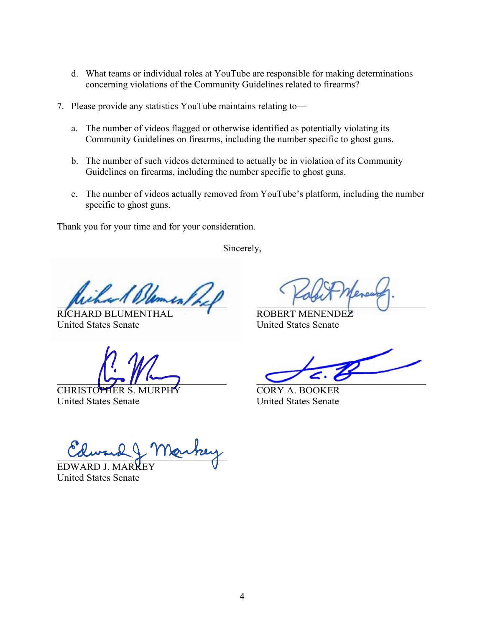- d. What teams or individual roles at YouTube are responsible for making determinations concerning violations of the Community Guidelines related to firearms?
- 7. Please provide any statistics YouTube maintains relating to
	- a. The number of videos flagged or otherwise identified as potentially violating its Community Guidelines on firearms, including the number specific to ghost guns.
	- b. The number of such videos determined to actually be in violation of its Community Guidelines on firearms, including the number specific to ghost guns.
	- c. The number of videos actually removed from YouTube's platform, including the number specific to ghost guns.

Thank you for your time and for your consideration.

Sincerely,

 $mu_{\ell}$ 

United States Senate United States Senate

CHRISTOPHER S. MURPHY CORY A. BOOKER<br>United States Senate United States Senate United States Senate

RICHARD BLUMENTHAL ROBERT MENENDEZ

 $\sum_{i=1}^n \frac{|\mathbf{u}_i - \mathbf{u}_i|^2}{|\mathbf{u}_i - \mathbf{u}_i|^2}$ 

aurua y 11 rouvely

EDWARD J. M United States Senate